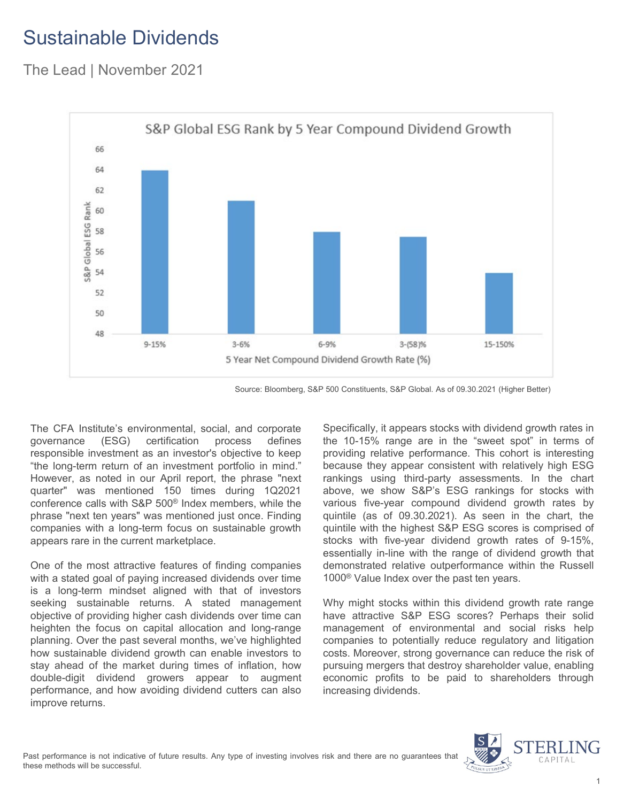# Sustainable Dividends

The Lead | November 2021



Source: Bloomberg, S&P 500 Constituents, S&P Global. As of 09.30.2021 (Higher Better)

The CFA Institute's environmental, social, and corporate governance (ESG) certification process defines responsible investment as an investor's objective to keep "the long-term return of an investment portfolio in mind." However, as noted in our April report, the phrase "next quarter" was mentioned 150 times during 1Q2021 conference calls with S&P 500® Index members, while the phrase "next ten years" was mentioned just once. Finding companies with a long-term focus on sustainable growth appears rare in the current marketplace.

One of the most attractive features of finding companies with a stated goal of paying increased dividends over time is a long-term mindset aligned with that of investors seeking sustainable returns. A stated management objective of providing higher cash dividends over time can heighten the focus on capital allocation and long-range planning. Over the past several months, we've highlighted how sustainable dividend growth can enable investors to stay ahead of the market during times of inflation, how double-digit dividend growers appear to augment performance, and how avoiding dividend cutters can also improve returns.

Specifically, it appears stocks with dividend growth rates in the 10-15% range are in the "sweet spot" in terms of providing relative performance. This cohort is interesting because they appear consistent with relatively high ESG rankings using third-party assessments. In the chart above, we show S&P's ESG rankings for stocks with various five-year compound dividend growth rates by quintile (as of 09.30.2021). As seen in the chart, the quintile with the highest S&P ESG scores is comprised of stocks with five-year dividend growth rates of 9-15%, essentially in-line with the range of dividend growth that demonstrated relative outperformance within the Russell 1000® Value Index over the past ten years.

Why might stocks within this dividend growth rate range have attractive S&P ESG scores? Perhaps their solid management of environmental and social risks help companies to potentially reduce regulatory and litigation costs. Moreover, strong governance can reduce the risk of pursuing mergers that destroy shareholder value, enabling economic profits to be paid to shareholders through increasing dividends.

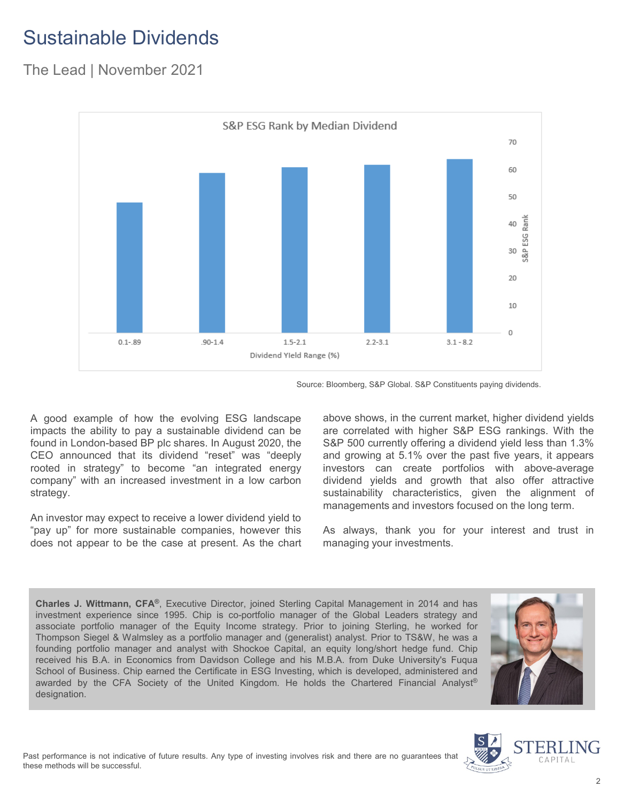# Sustainable Dividends

### The Lead | November 2021



Source: Bloomberg, S&P Global. S&P Constituents paying dividends.

A good example of how the evolving ESG landscape impacts the ability to pay a sustainable dividend can be found in London-based BP plc shares. In August 2020, the CEO announced that its dividend "reset" was "deeply rooted in strategy" to become "an integrated energy company" with an increased investment in a low carbon strategy.

An investor may expect to receive a lower dividend yield to "pay up" for more sustainable companies, however this does not appear to be the case at present. As the chart above shows, in the current market, higher dividend yields are correlated with higher S&P ESG rankings. With the S&P 500 currently offering a dividend yield less than 1.3% and growing at 5.1% over the past five years, it appears investors can create portfolios with above-average dividend yields and growth that also offer attractive sustainability characteristics, given the alignment of managements and investors focused on the long term.

As always, thank you for your interest and trust in managing your investments.

**Charles J. Wittmann, CFA®**, Executive Director, joined Sterling Capital Management in 2014 and has investment experience since 1995. Chip is co-portfolio manager of the Global Leaders strategy and associate portfolio manager of the Equity Income strategy. Prior to joining Sterling, he worked for Thompson Siegel & Walmsley as a portfolio manager and (generalist) analyst. Prior to TS&W, he was a founding portfolio manager and analyst with Shockoe Capital, an equity long/short hedge fund. Chip received his B.A. in Economics from Davidson College and his M.B.A. from Duke University's Fuqua School of Business. Chip earned the Certificate in ESG Investing, which is developed, administered and awarded by the CFA Society of the United Kingdom. He holds the Chartered Financial Analyst® designation.